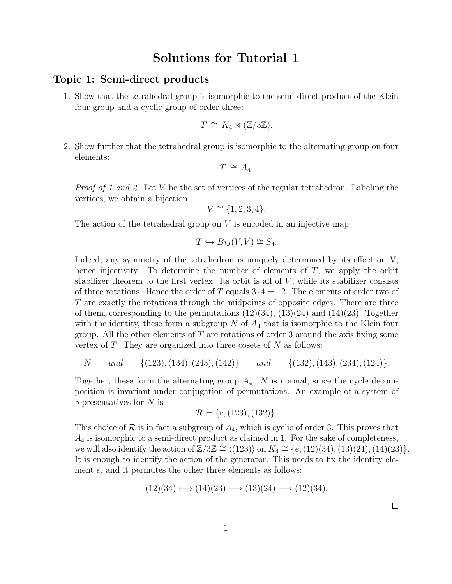## Solutions for Tutorial 1

## Topic 1: Semi-direct products

1. Show that the tetrahedral group is isomorphic to the semi-direct product of the Klein four group and a cyclic group of order three:

$$
T \cong K_4 \rtimes (\mathbb{Z}/3\mathbb{Z}).
$$

2. Show further that the tetrahedral group is isomorphic to the alternating group on four elements:

$$
T \,\cong\, A_4.
$$

*Proof of 1 and 2.* Let V be the set of vertices of the regular tetrahedron. Labeling the vertices, we obtain a bijection

$$
V \cong \{1, 2, 3, 4\}.
$$

The action of the tetrahedral group on  $V$  is encoded in an injective map

$$
T \hookrightarrow Bij(V, V) \cong S_4.
$$

Indeed, any symmetry of the tetrahedron is uniquely determined by its effect on V, hence injectivity. To determine the number of elements of  $T$ , we apply the orbit stabilizer theorem to the first vertex. Its orbit is all of  $V$ , while its stabilizer consists of three rotations. Hence the order of T equals  $3 \cdot 4 = 12$ . The elements of order two of T are exactly the rotations through the midpoints of opposite edges. There are three of them, corresponding to the permutations  $(12)(34)$ ,  $(13)(24)$  and  $(14)(23)$ . Together with the identity, these form a subgroup  $N$  of  $A_4$  that is isomorphic to the Klein four group. All the other elements of  $T$  are rotations of order 3 around the axis fixing some vertex of  $T$ . They are organized into three cosets of  $N$  as follows:

$$
N
$$
 and  $\{(123), (134), (243), (142)\}$  and  $\{(132), (143), (234), (124)\}.$ 

Together, these form the alternating group  $A_4$ . N is normal, since the cycle decomposition is invariant under conjugation of permutations. An example of a system of representatives for  $N$  is

$$
\mathcal{R} = \{e, (123), (132)\}.
$$

This choice of  $\mathcal R$  is in fact a subgroup of  $A_4$ , which is cyclic of order 3. This proves that  $A_4$  is isomorphic to a semi-direct product as claimed in 1. For the sake of completeness, we will also identify the action of  $\mathbb{Z}/3\mathbb{Z} \cong \langle (123) \rangle$  on  $K_4 \cong \{e,(12)(34),(13)(24),(14)(23)\}.$ It is enough to identify the action of the generator. This needs to fix the identity element e, and it permutes the other three elements as follows:

$$
(12)(34) \mapsto (14)(23) \mapsto (13)(24) \mapsto (12)(34).
$$

 $\Box$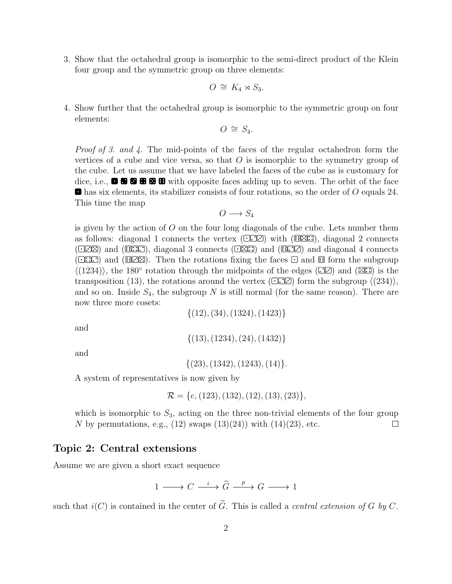3. Show that the octahedral group is isomorphic to the semi-direct product of the Klein four group and the symmetric group on three elements:

$$
O \cong K_4 \rtimes S_3.
$$

4. Show further that the octahedral group is isomorphic to the symmetric group on four elements:

$$
O\,\cong\,S_4.
$$

Proof of 3. and 4. The mid-points of the faces of the regular octahedron form the vertices of a cube and vice versa, so that  $O$  is isomorphic to the symmetry group of the cube. Let us assume that we have labeled the faces of the cube as is customary for dice, i.e.,  $\blacksquare$   $\blacksquare$   $\blacksquare$   $\blacksquare$   $\blacksquare$  with opposite faces adding up to seven. The orbit of the face  $\blacksquare$  has six elements, its stabilizer consists of four rotations, so the order of O equals 24. This time the map

$$
O\longrightarrow S_4
$$

is given by the action of  $O$  on the four long diagonals of the cube. Lets number them as follows: diagonal 1 connects the vertex  $(\Box \Box)$  with  $(\Box \Box)$ , diagonal 2 connects  $(\bigcirc \mathbb{E})$  and  $(\mathbb{B} \mathbb{E} \mathbb{E})$ , diagonal 3 connects  $(\bigcirc \mathbb{E} \mathbb{E})$  and  $(\mathbb{E} \mathbb{E} \mathbb{E})$  and diagonal 4 connects  $(\bigcirc$ : $\bigcirc$  and  $(\bigcirc$ : $\bigcirc$ ). Then the rotations fixing the faces  $\bigcirc$  and  $\bigcirc$  form the subgroup  $\langle (1234) \rangle$ , the 180° rotation through the midpoints of the edges ( $\Xi$ C) and ( $\Xi$ C) is the transposition (13), the rotations around the vertex ( $\Box$  $\Box$ ) form the subgroup  $\langle (234) \rangle$ , and so on. Inside  $S_4$ , the subgroup N is still normal (for the same reason). There are now three more cosets:

 $\{(12),(34),(1324),(1423)\}$ 

and

 $\{(13), (1234), (24), (1432)\}\$ 

and

$$
\{(23), (1342), (1243), (14)\}.
$$

A system of representatives is now given by

$$
\mathcal{R} = \{e, (123), (132), (12), (13), (23)\},\
$$

which is isomorphic to  $S_3$ , acting on the three non-trivial elements of the four group N by permutations, e.g.,  $(12)$  swaps  $(13)(24)$ ) with  $(14)(23)$ , etc.  $\Box$ 

## Topic 2: Central extensions

Assume we are given a short exact sequence

$$
1 \longrightarrow C \xrightarrow{i} \widetilde{G} \xrightarrow{p} G \longrightarrow 1
$$

such that  $i(C)$  is contained in the center of  $\tilde{G}$ . This is called a *central extension of G by C*.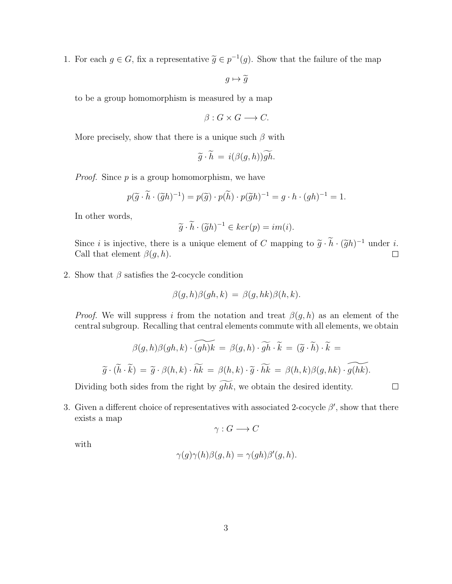1. For each  $g \in G$ , fix a representative  $\tilde{g} \in p^{-1}(g)$ . Show that the failure of the map

 $g \mapsto \widetilde{g}$ 

to be a group homomorphism is measured by a map

$$
\beta: G \times G \longrightarrow C.
$$

More precisely, show that there is a unique such  $\beta$  with

$$
\widetilde{g} \cdot \widetilde{h} = i(\beta(g,h))\widetilde{gh}.
$$

*Proof.* Since  $p$  is a group homomorphism, we have

$$
p(\widetilde{g} \cdot \widetilde{h} \cdot (\widetilde{g}h)^{-1}) = p(\widetilde{g}) \cdot p(\widetilde{h}) \cdot p(\widetilde{g}h)^{-1} = g \cdot h \cdot (gh)^{-1} = 1.
$$

In other words,

$$
\widetilde{g} \cdot \widetilde{h} \cdot (\widetilde{g}h)^{-1} \in \ker(p) = im(i).
$$

Since *i* is injective, there is a unique element of C mapping to  $\tilde{g} \cdot \tilde{h} \cdot (\tilde{g}h)^{-1}$  under *i*.<br>Call that element  $\beta(g, h)$ Call that element  $\beta(q, h)$ .  $\Box$ 

2. Show that  $\beta$  satisfies the 2-cocycle condition

$$
\beta(g,h)\beta(gh,k) = \beta(g,hk)\beta(h,k).
$$

*Proof.* We will suppress i from the notation and treat  $\beta(g, h)$  as an element of the central subgroup. Recalling that central elements commute with all elements, we obtain

$$
\beta(g, h)\beta(gh, k) \cdot \widetilde{(gh)k} = \beta(g, h) \cdot \widetilde{gh} \cdot \widetilde{k} = (\widetilde{g} \cdot \widetilde{h}) \cdot \widetilde{k} =
$$

$$
\widetilde{g} \cdot (\widetilde{h} \cdot \widetilde{k}) = \widetilde{g} \cdot \beta(h, k) \cdot \widetilde{hk} = \beta(h, k) \cdot \widetilde{g} \cdot \widetilde{hk} = \beta(h, k)\beta(g, hk) \cdot \widetilde{g(hk)}.
$$
ng both sides from the right by  $\widetilde{ghk}$ , we obtain the desired identity.

Dividing both sides from the right by  $ghk$ , we obtain the desired identity.

3. Given a different choice of representatives with associated 2-cocycle  $\beta'$ , show that there exists a map

$$
\gamma: G \longrightarrow C
$$

with

$$
\gamma(g)\gamma(h)\beta(g,h) = \gamma(gh)\beta'(g,h).
$$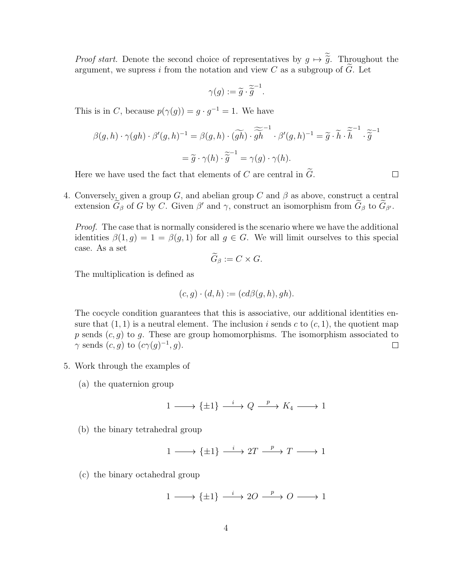*Proof start.* Denote the second choice of representatives by  $g \mapsto \tilde{\tilde{g}}$ . Throughout the argument, we supress i from the notation and view C as a subgroup of  $\tilde{G}$ . Let

$$
\gamma(g) := \widetilde{g} \cdot \widetilde{\widetilde{g}}^{-1}.
$$

This is in C, because  $p(\gamma(g)) = g \cdot g^{-1} = 1$ . We have

$$
\beta(g,h) \cdot \gamma(gh) \cdot \beta'(g,h)^{-1} = \beta(g,h) \cdot (\widetilde{gh}) \cdot \widetilde{\widetilde{gh}}^{1} \cdot \beta'(g,h)^{-1} = \widetilde{g} \cdot \widetilde{h} \cdot \widetilde{\widetilde{h}}^{1} \cdot \widetilde{\widetilde{g}}^{1}
$$

$$
= \widetilde{g} \cdot \gamma(h) \cdot \widetilde{\widetilde{g}}^{1} = \gamma(g) \cdot \gamma(h).
$$

Here we have used the fact that elements of C are central in  $\tilde{G}$ .

4. Conversely, given a group G, and abelian group C and  $\beta$  as above, construct a central extension  $\tilde{G}_{\beta}$  of G by C. Given  $\beta'$  and  $\gamma$ , construct an isomorphism from  $\tilde{G}_{\beta}$  to  $\tilde{G}_{\beta'}$ .

Proof. The case that is normally considered is the scenario where we have the additional identities  $\beta(1,g) = 1 = \beta(g,1)$  for all  $g \in G$ . We will limit ourselves to this special case. As a set

$$
\widetilde{G}_{\beta}:=C\times G.
$$

The multiplication is defined as

$$
(c,g) \cdot (d,h) := (cd\beta(g,h), gh).
$$

The cocycle condition guarantees that this is associative, our additional identities ensure that  $(1, 1)$  is a neutral element. The inclusion i sends c to  $(c, 1)$ , the quotient map p sends  $(c, g)$  to g. These are group homomorphisms. The isomorphism associated to  $\gamma$  sends  $(c, g)$  to  $(c\gamma(g)^{-1}, g)$ .  $\Box$ 

- 5. Work through the examples of
	- (a) the quaternion group

$$
1 \xrightarrow{\hspace{0.3cm}} \{ \pm 1 \} \xrightarrow{\hspace{0.3cm} i \hspace{0.1cm}} Q \xrightarrow{\hspace{0.3cm} p} K_4 \xrightarrow{\hspace{0.3cm}} 1
$$

(b) the binary tetrahedral group

$$
1 \longrightarrow {\pm 1} \stackrel{i}{\longrightarrow} 2T \stackrel{p}{\longrightarrow} T \longrightarrow 1
$$

(c) the binary octahedral group

$$
1\longrightarrow \{\pm 1\} \xrightarrow{\quad i\quad} 2O \xrightarrow{\quad p\quad} O \xrightarrow{\quad \longrightarrow} 1
$$

 $\Box$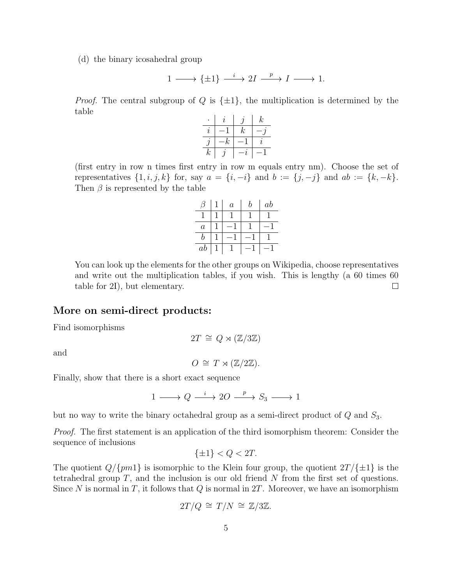(d) the binary icosahedral group

$$
1\longrightarrow \{\pm 1\}\stackrel{i}{\longrightarrow} 2I\stackrel{p}{\longrightarrow} I\longrightarrow 1.
$$

*Proof.* The central subgroup of Q is  $\{\pm 1\}$ , the multiplication is determined by the table

|       | Z                |                  | $\boldsymbol{k}$    |
|-------|------------------|------------------|---------------------|
| I,    |                  | $\boldsymbol{k}$ |                     |
|       | $\boldsymbol{k}$ |                  | $\boldsymbol{\eta}$ |
| $\,k$ |                  | 7,               |                     |

(first entry in row n times first entry in row m equals entry nm). Choose the set of representatives  $\{1, i, j, k\}$  for, say  $a = \{i, -i\}$  and  $b := \{j, -j\}$  and  $ab := \{k, -k\}.$ Then  $\beta$  is represented by the table

|                | $\it a$ | h | $_{ab}$ |
|----------------|---------|---|---------|
|                |         |   |         |
| $\overline{a}$ |         |   |         |
| h              |         |   |         |
| $_{ab}$        |         |   |         |

You can look up the elements for the other groups on Wikipedia, choose representatives and write out the multiplication tables, if you wish. This is lengthy (a 60 times 60 table for 2I), but elementary.  $\Box$ 

## More on semi-direct products:

Find isomorphisms

 $2T \cong Q \rtimes (\mathbb{Z}/3\mathbb{Z})$ 

and

 $O \cong T \rtimes (\mathbb{Z}/2\mathbb{Z}).$ 

Finally, show that there is a short exact sequence

$$
1 \longrightarrow Q \xrightarrow{i} 2Q \xrightarrow{p} S_3 \longrightarrow 1
$$

but no way to write the binary octahedral group as a semi-direct product of  $Q$  and  $S_3$ .

Proof. The first statement is an application of the third isomorphism theorem: Consider the sequence of inclusions

$$
\{\pm 1\} < Q < 2T.
$$

The quotient  $Q/\{pm1\}$  is isomorphic to the Klein four group, the quotient  $2T/\{\pm1\}$  is the tetrahedral group  $T$ , and the inclusion is our old friend  $N$  from the first set of questions. Since N is normal in T, it follows that Q is normal in  $2T$ . Moreover, we have an isomorphism

$$
2T/Q \cong T/N \cong \mathbb{Z}/3\mathbb{Z}.
$$